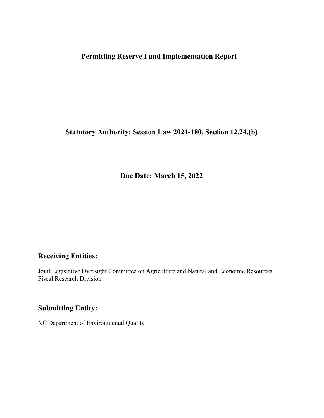# **Permitting Reserve Fund Implementation Report**

**Statutory Authority: Session Law 2021-180, Section 12.24.(b)**

**Due Date: March 15, 2022**

### **Receiving Entities:**

Joint Legislative Oversight Committee on Agriculture and Natural and Economic Resources Fiscal Research Division

## **Submitting Entity:**

NC Department of Environmental Quality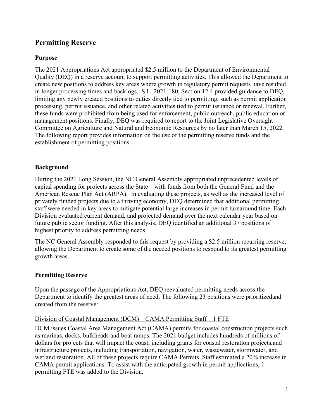## **Permitting Reserve**

### **Purpose**

The 2021 Appropriations Act appropriated \$2.5 million to the Department of Environmental Quality (DEQ) in a reserve account to support permitting activities. This allowed the Department to create new positions to address key areas where growth in regulatory permit requests have resulted in longer processing times and backlogs. S.L. 2021-180, Section 12.4 provided guidance to DEQ, limiting any newly created positions to duties directly tied to permitting, such as permit application processing, permit issuance, and other related activities tied to permit issuance or renewal. Further, these funds were prohibited from being used for enforcement, public outreach, public education or management positions. Finally, DEQ was required to report to the Joint Legislative Oversight Committee on Agriculture and Natural and Economic Resources by no later than March 15, 2022. The following report provides information on the use of the permitting reserve funds and the establishment of permitting positions.

### **Background**

During the 2021 Long Session, the NC General Assembly appropriated unprecedented levels of capital spending for projects across the State – with funds from both the General Fund and the American Rescue Plan Act (ARPA). In evaluating these projects, as well as the increased level of privately funded projects due to a thriving economy, DEQ determined that additional permitting staff were needed in key areas to mitigate potential large increases in permit turnaround time. Each Division evaluated current demand, and projected demand over the next calendar year based on future public sector funding. After this analysis, DEQ identified an additional 37 positions of highest priority to address permitting needs.

The NC General Assembly responded to this request by providing a \$2.5 million recurring reserve, allowing the Department to create some of the needed positions to respond to its greatest permitting growth areas.

### **Permitting Reserve**

Upon the passage of the Appropriations Act, DEQ reevaluated permitting needs across the Department to identify the greatest areas of need. The following 23 positions were prioritized and created from the reserve:

### Division of Coastal Management (DCM) – CAMA Permitting Staff – 1 FTE

DCM issues Coastal Area Management Act (CAMA) permits for coastal construction projects such as marinas, docks, bulkheads and boat ramps. The 2021 budget includes hundreds of millions of dollars for projects that will impact the coast, including grants for coastal restoration projects, and infrastructure projects, including transportation, navigation, water, wastewater, stormwater, and wetland restoration. All of these projects require CAMA Permits. Staff estimated a 20% increase in CAMA permit applications. To assist with the anticipated growth in permit applications, 1 permitting FTE was added to the Division.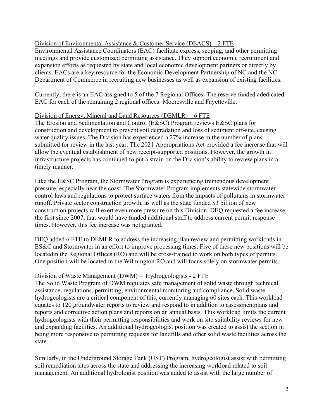### Division of Environmental Assistance & Customer Service (DEACS) – 2 FTE

Environmental Assistance Coordinators (EAC) facilitate express, scoping, and other permitting meetings and provide customized permitting assistance. They support economic recruitment and expansion efforts as requested by state and local economic development partners or directly by clients. EACs are a key resource for the Economic Development Partnership of NC and the NC Department of Commerce in recruiting new businesses as well as expansion of existing facilities.

Currently, there is an EAC assigned to 5 of the 7 Regional Offices. The reserve funded a dedicated EAC for each of the remaining 2 regional offices: Mooresville and Fayetteville.

#### Division of Energy, Mineral and Land Resources (DEMLR) – 6 FTE

The Erosion and Sedimentation and Control (E&SC) Program reviews E&SC plans for construction and development to prevent soil degradation and loss of sediment off-site, causing water quality issues. The Division has experienced a 27% increase in the number of plans submitted for review in the last year. The 2021 Appropriations Act provided a fee increase that will allow the eventual establishment of new receipt-supported positions. However, the growth in infrastructure projects has continued to put a strain on the Division's ability to review plans in a timely manner.

Like the E&SC Program, the Stormwater Program is experiencing tremendous development pressure, especially near the coast. The Stormwater Program implements statewide stormwater control laws and regulations to protect surface waters from the impacts of pollutants in stormwater runoff. Private sector construction growth, as well as the state funded \$3 billion of new construction projects will exert even more pressure on this Division. DEQ requested a fee increase, the first since 2007, that would have funded additional staff to address current permit response times. However, this fee increase was not granted.

DEQ added 6 FTE to DEMLR to address the increasing plan review and permitting workloads in ES&C and Stormwater in an effort to improve processing times. Five of these new positions will be locatedin the Regional Offices (RO) and will be cross-trained to work on both types of permits. One position will be located in the Wilmington RO and will focus solely on stormwater permits.

#### Division of Waste Management (DWM) – Hydrogeologists - 2 FTE

The Solid Waste Program of DWM regulates safe management of solid waste through technical assistance, regulations, permitting, environmental monitoring and compliance. Solid waste hydrogeologists are a critical component of this, currently managing 60 sites each. This workload equates to 120 groundwater reports to review and respond to in addition to assessment plans and reports and corrective action plans and reports on an annual basis. This workload limits the current hydrogeologists with their permitting responsibilities and work on site suitability reviews for new and expanding facilities. An additional hydrogeologist position was created to assist the section in being more responsive to permitting requests for landfills and other solid waste facilities across the state.

Similarly, in the Underground Storage Tank (UST) Program, hydrogeologist assist with permitting soil remediation sites across the state and addressing the increasing workload related to soil management. An additional hydrologist position was added to assist with the large number of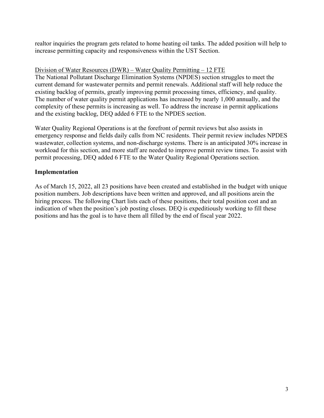realtor inquiries the program gets related to home heating oil tanks. The added position will help to increase permitting capacity and responsiveness within the UST Section.

#### Division of Water Resources (DWR) – Water Quality Permitting – 12 FTE

The National Pollutant Discharge Elimination Systems (NPDES) section struggles to meet the current demand for wastewater permits and permit renewals. Additional staff will help reduce the existing backlog of permits, greatly improving permit processing times, efficiency, and quality. The number of water quality permit applications has increased by nearly 1,000 annually, and the complexity of these permits is increasing as well. To address the increase in permit applications and the existing backlog, DEQ added 6 FTE to the NPDES section.

Water Quality Regional Operations is at the forefront of permit reviews but also assists in emergency response and fields daily calls from NC residents. Their permit review includes NPDES wastewater, collection systems, and non-discharge systems. There is an anticipated 30% increase in workload for this section, and more staff are needed to improve permit review times. To assist with permit processing, DEQ added 6 FTE to the Water Quality Regional Operations section.

#### **Implementation**

As of March 15, 2022, all 23 positions have been created and established in the budget with unique position numbers. Job descriptions have been written and approved, and all positions are in the hiring process. The following Chart lists each of these positions, their total position cost and an indication of when the position's job posting closes. DEQ is expeditiously working to fill these positions and has the goal is to have them all filled by the end of fiscal year 2022.